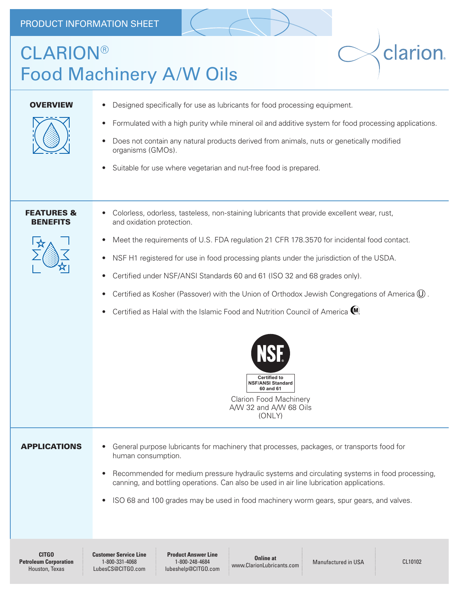## CLARION® Food Machinery A/W Oils

clarion.

| <b>OVERVIEW</b>                                                | Designed specifically for use as lubricants for food processing equipment.<br>٠<br>Formulated with a high purity while mineral oil and additive system for food processing applications.<br>$\bullet$<br>Does not contain any natural products derived from animals, nuts or genetically modified<br>٠<br>organisms (GMOs).<br>Suitable for use where vegetarian and nut-free food is prepared.<br>٠                                                                                                                                                                                                                                                                                                                                                                               |  |  |  |  |
|----------------------------------------------------------------|------------------------------------------------------------------------------------------------------------------------------------------------------------------------------------------------------------------------------------------------------------------------------------------------------------------------------------------------------------------------------------------------------------------------------------------------------------------------------------------------------------------------------------------------------------------------------------------------------------------------------------------------------------------------------------------------------------------------------------------------------------------------------------|--|--|--|--|
| <b>FEATURES &amp;</b><br><b>BENEFITS</b>                       | Colorless, odorless, tasteless, non-staining lubricants that provide excellent wear, rust,<br>and oxidation protection.<br>Meet the requirements of U.S. FDA regulation 21 CFR 178.3570 for incidental food contact.<br>٠<br>NSF H1 registered for use in food processing plants under the jurisdiction of the USDA.<br>$\bullet$<br>Certified under NSF/ANSI Standards 60 and 61 (ISO 32 and 68 grades only).<br>٠<br>Certified as Kosher (Passover) with the Union of Orthodox Jewish Congregations of America $(\overline{0})$ .<br>٠<br>Certified as Halal with the Islamic Food and Nutrition Council of America (W).<br>٠<br><b>NSF</b><br><b>Certified to</b><br><b>NSF/ANSI Standard</b><br>60 and 61<br><b>Clarion Food Machinery</b><br>A/W 32 and A/W 68 Oils<br>(ONLY) |  |  |  |  |
| <b>APPLICATIONS</b>                                            | General purpose lubricants for machinery that processes, packages, or transports food for<br>$\bullet$<br>human consumption.<br>Recommended for medium pressure hydraulic systems and circulating systems in food processing,<br>$\bullet$<br>canning, and bottling operations. Can also be used in air line lubrication applications.<br>ISO 68 and 100 grades may be used in food machinery worm gears, spur gears, and valves.<br>$\bullet$                                                                                                                                                                                                                                                                                                                                     |  |  |  |  |
| <b>CITGO</b><br><b>Petroleum Corporation</b><br>Houston, Texas | <b>Product Answer Line</b><br><b>Customer Service Line</b><br><b>Online at</b><br>1-800-331-4068<br>1-800-248-4684<br><b>Manufactured in USA</b><br>CL10102<br>www.ClarionLubricants.com<br>LubesCS@CITGO.com<br>lubeshelp@CITGO.com                                                                                                                                                                                                                                                                                                                                                                                                                                                                                                                                               |  |  |  |  |